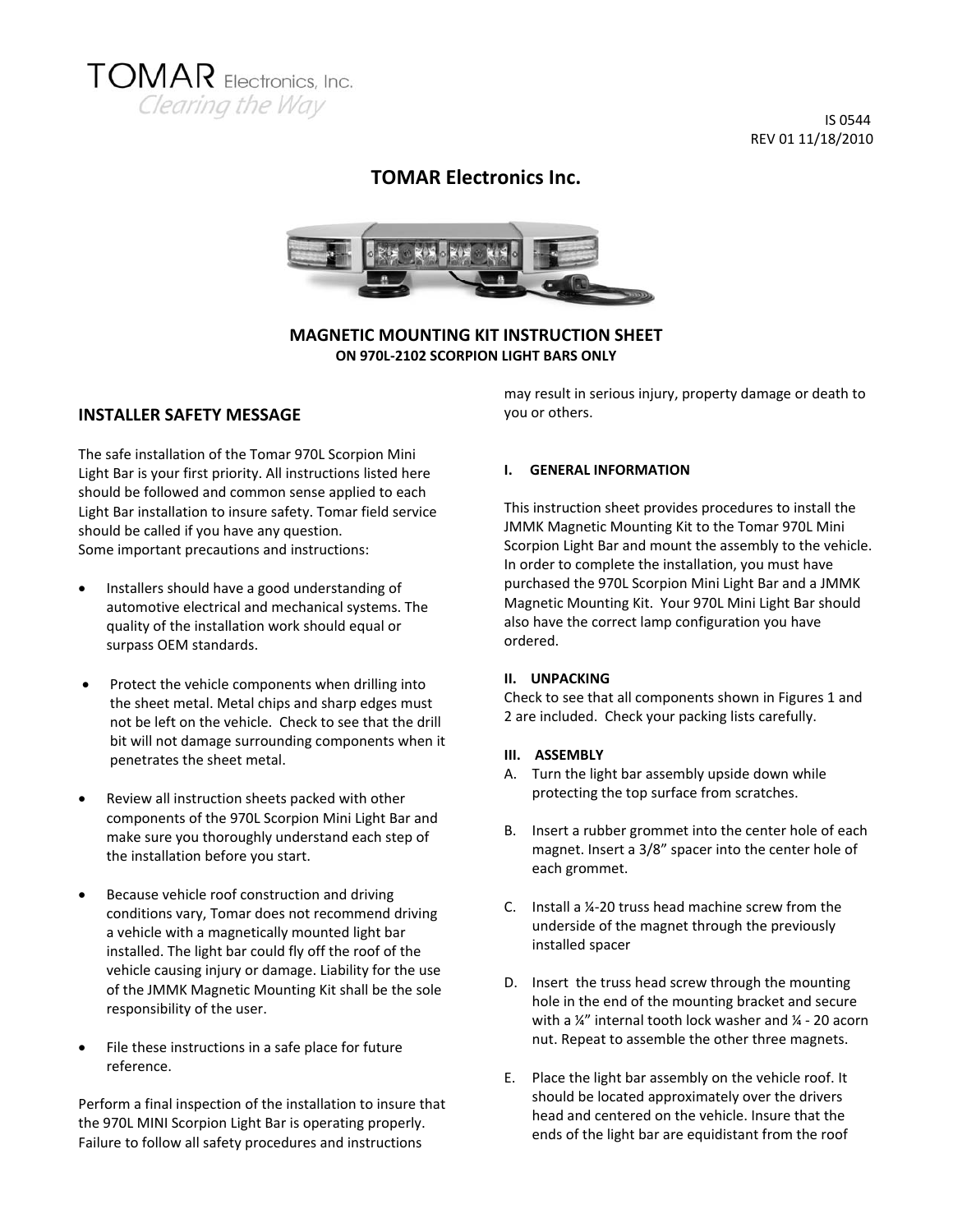

 IS 0544 REV 01 11/18/2010

# **TOMAR Electronics Inc.**



**MAGNETIC MOUNTING KIT INSTRUCTION SHEET ON 970L‐2102 SCORPION LIGHT BARS ONLY**

### **INSTALLER SAFETY MESSAGE**

The safe installation of the Tomar 970L Scorpion Mini Light Bar is your first priority. All instructions listed here should be followed and common sense applied to each Light Bar installation to insure safety. Tomar field service should be called if you have any question. Some important precautions and instructions:

- Installers should have a good understanding of automotive electrical and mechanical systems. The quality of the installation work should equal or surpass OEM standards.
- Protect the vehicle components when drilling into the sheet metal. Metal chips and sharp edges must not be left on the vehicle. Check to see that the drill bit will not damage surrounding components when it penetrates the sheet metal.
- Review all instruction sheets packed with other components of the 970L Scorpion Mini Light Bar and make sure you thoroughly understand each step of the installation before you start.
- Because vehicle roof construction and driving conditions vary, Tomar does not recommend driving a vehicle with a magnetically mounted light bar installed. The light bar could fly off the roof of the vehicle causing injury or damage. Liability for the use of the JMMK Magnetic Mounting Kit shall be the sole responsibility of the user.
- File these instructions in a safe place for future reference.

Perform a final inspection of the installation to insure that the 970L MINI Scorpion Light Bar is operating properly. Failure to follow all safety procedures and instructions

may result in serious injury, property damage or death to you or others.

### **I. GENERAL INFORMATION**

This instruction sheet provides procedures to install the JMMK Magnetic Mounting Kit to the Tomar 970L Mini Scorpion Light Bar and mount the assembly to the vehicle. In order to complete the installation, you must have purchased the 970L Scorpion Mini Light Bar and a JMMK Magnetic Mounting Kit. Your 970L Mini Light Bar should also have the correct lamp configuration you have ordered.

### **II. UNPACKING**

Check to see that all components shown in Figures 1 and 2 are included. Check your packing lists carefully.

### **III. ASSEMBLY**

- A. Turn the light bar assembly upside down while protecting the top surface from scratches.
- B. Insert a rubber grommet into the center hole of each magnet. Insert a 3/8" spacer into the center hole of each grommet.
- C. Install a ¼‐20 truss head machine screw from the underside of the magnet through the previously installed spacer
- D. Insert the truss head screw through the mounting hole in the end of the mounting bracket and secure with a ¼" internal tooth lock washer and ¼ ‐ 20 acorn nut. Repeat to assemble the other three magnets.
- E. Place the light bar assembly on the vehicle roof. It should be located approximately over the drivers head and centered on the vehicle. Insure that the ends of the light bar are equidistant from the roof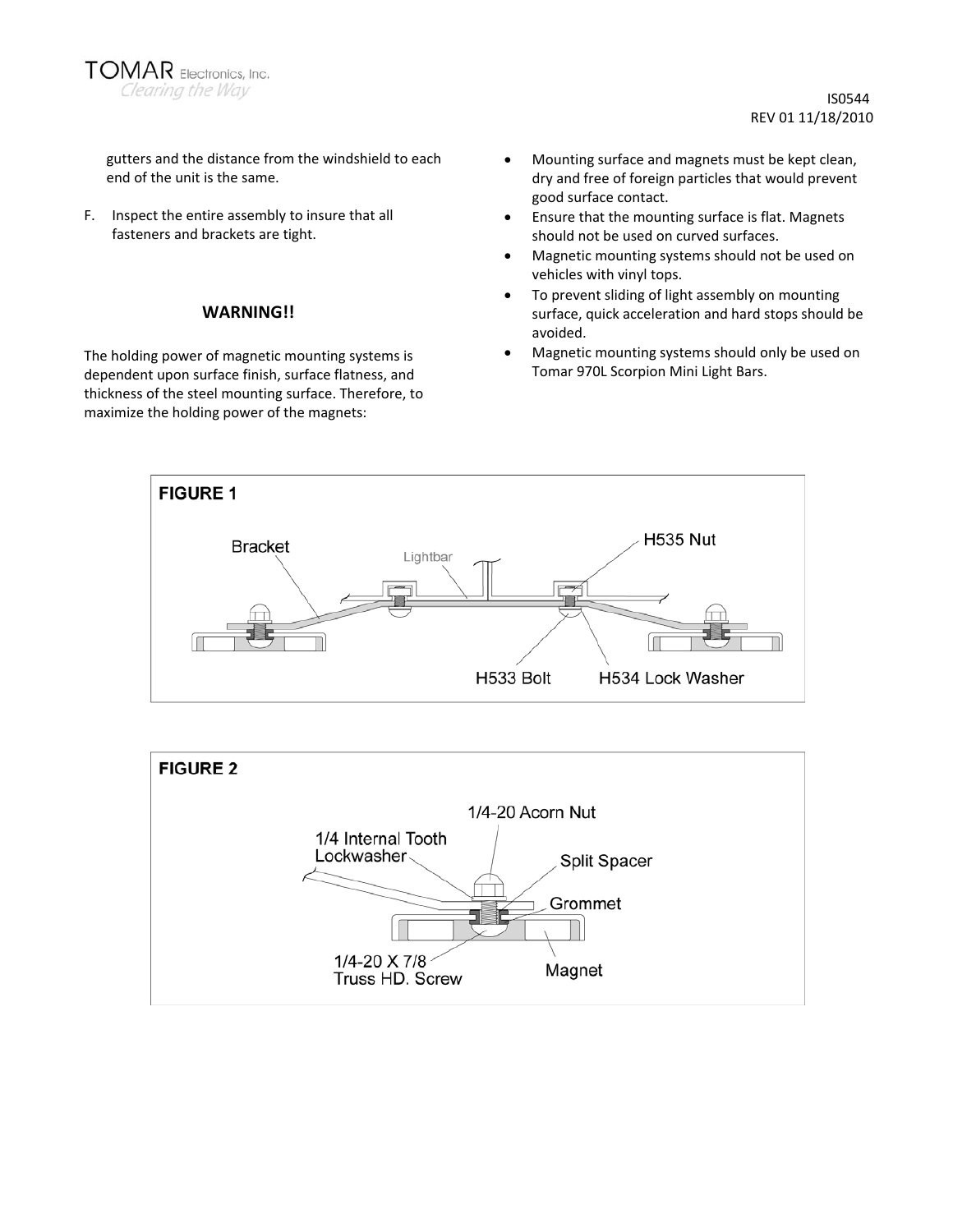

gutters and the distance from the windshield to each end of the unit is the same.

F. Inspect the entire assembly to insure that all fasteners and brackets are tight.

### **WARNING!!**

The holding power of magnetic mounting systems is dependent upon surface finish, surface flatness, and thickness of the steel mounting surface. Therefore, to maximize the holding power of the magnets:

- Mounting surface and magnets must be kept clean, dry and free of foreign particles that would prevent good surface contact.
- Ensure that the mounting surface is flat. Magnets should not be used on curved surfaces.
- Magnetic mounting systems should not be used on vehicles with vinyl tops.
- To prevent sliding of light assembly on mounting surface, quick acceleration and hard stops should be avoided.
- Magnetic mounting systems should only be used on Tomar 970L Scorpion Mini Light Bars.



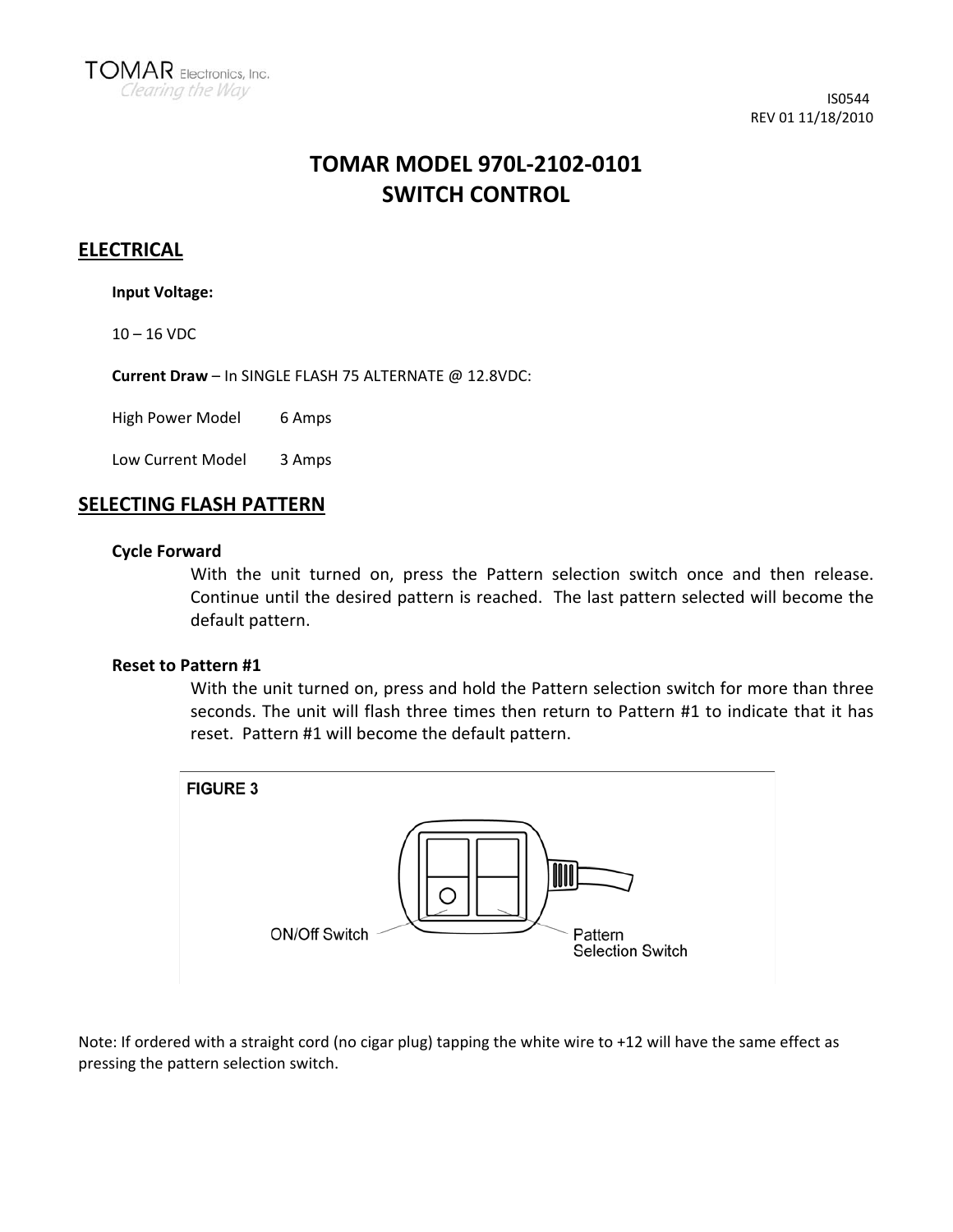# **TOMAR MODEL 970L‐2102‐0101 SWITCH CONTROL**

# **ELECTRICAL**

**Input Voltage:**

 $10 - 16$  VDC

**Current Draw** – In SINGLE FLASH 75 ALTERNATE @ 12.8VDC:

High Power Model 6 Amps

Low Current Model 3 Amps

## **SELECTING FLASH PATTERN**

### **Cycle Forward**

With the unit turned on, press the Pattern selection switch once and then release. Continue until the desired pattern is reached. The last pattern selected will become the default pattern.

## **Reset to Pattern #1**

With the unit turned on, press and hold the Pattern selection switch for more than three seconds. The unit will flash three times then return to Pattern #1 to indicate that it has reset. Pattern #1 will become the default pattern.



Note: If ordered with a straight cord (no cigar plug) tapping the white wire to +12 will have the same effect as pressing the pattern selection switch.